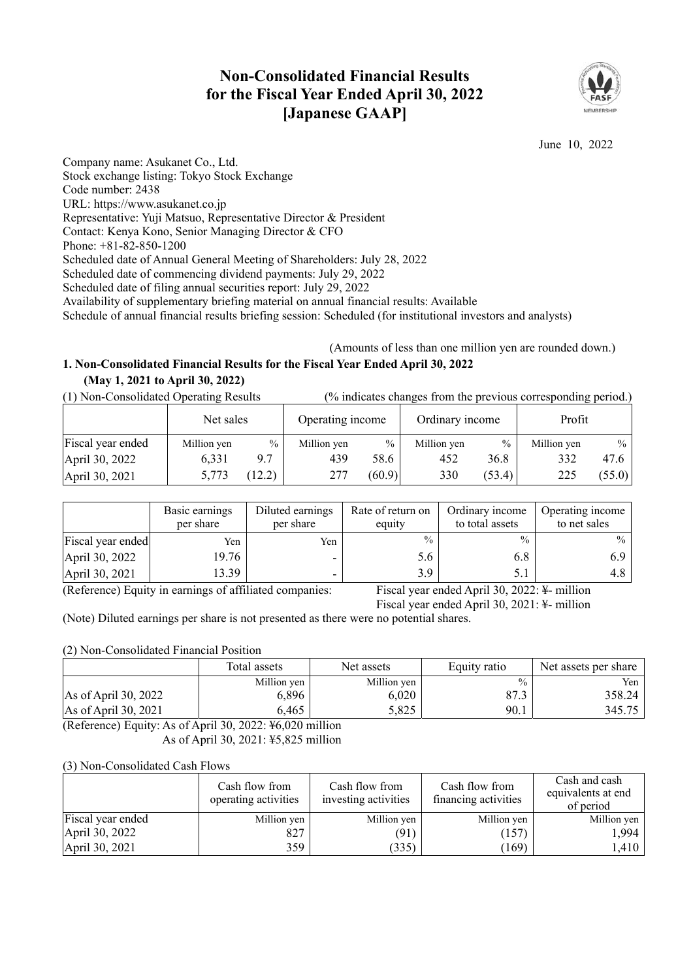# **Non-Consolidated Financial Results for the Fiscal Year Ended April 30, 2022 [Japanese GAAP]**



June 10, 2022

Company name: Asukanet Co., Ltd. Stock exchange listing: Tokyo Stock Exchange Code number: 2438 URL: https://www.asukanet.co.jp Representative: Yuji Matsuo, Representative Director & President Contact: Kenya Kono, Senior Managing Director & CFO Phone: +81-82-850-1200 Scheduled date of Annual General Meeting of Shareholders: July 28, 2022 Scheduled date of commencing dividend payments: July 29, 2022 Scheduled date of filing annual securities report: July 29, 2022 Availability of supplementary briefing material on annual financial results: Available Schedule of annual financial results briefing session: Scheduled (for institutional investors and analysts)

# (Amounts of less than one million yen are rounded down.) **1. Non-Consolidated Financial Results for the Fiscal Year Ended April 30, 2022**

## **(May 1, 2021 to April 30, 2022)**

(1) Non-Consolidated Operating Results (% indicates changes from the previous corresponding period.)

|                   | Net sales   |       | Operating income |               | Ordinary income |        | Profit      |        |
|-------------------|-------------|-------|------------------|---------------|-----------------|--------|-------------|--------|
| Fiscal year ended | Million yen | $\%$  | Million yen      | $\frac{0}{0}$ | Million yen     | $\%$   | Million yen | $%$    |
| April 30, 2022    | 6.331       | 9.7   | 439              | 58.6          | 452             | 36.8   | 332         | 47.6   |
| April 30, 2021    | 5,773       | 12.2) | 277              | (60.9)        | 330             | (53.4) | 225         | (55.0) |

|                                                              | Basic earnings<br>per share | Diluted earnings<br>per share | Rate of return on<br>equity | Ordinary income<br>to total assets                           | Operating income<br>to net sales |
|--------------------------------------------------------------|-----------------------------|-------------------------------|-----------------------------|--------------------------------------------------------------|----------------------------------|
| Fiscal year ended                                            | Yen                         | Yen                           | $\frac{0}{0}$               | $\frac{0}{0}$                                                | $\%$                             |
| April 30, 2022                                               | 19.76                       |                               | 5.6                         | 6.8                                                          |                                  |
| April 30, 2021                                               | 13.39                       |                               | 3.9                         | J.I                                                          | 4.8                              |
| $\sqrt{D}$ $\alpha$<br>$\mathbf{v}$ . The state $\mathbf{v}$ |                             | $C = C(T)$ $T = 1$            | $\mathbf{r}$                | $\mathbf{A} \cap \mathbf{A} \cap \mathbf{A} \cap \mathbf{A}$ | $\cdot\cdot\cdot$                |

(Reference) Equity in earnings of affiliated companies: Fiscal year ended April 30, 2022: ¥- million

Fiscal year ended April 30, 2021: ¥- million

(Note) Diluted earnings per share is not presented as there were no potential shares.

## (2) Non-Consolidated Financial Position

|                                | Total assets | Net assets  | Equity ratio  | Net assets per share |  |
|--------------------------------|--------------|-------------|---------------|----------------------|--|
|                                | Million yen  | Million yen | $\frac{0}{0}$ | Yen                  |  |
| As of April 30, 2022           | 6.896        | 6.020       | 87.3          | 358.24 l             |  |
| $\text{As of April } 30, 2021$ | 6,465        | 5,825       | 90.1          | 345.75               |  |

(Reference) Equity: As of April 30, 2022: ¥6,020 million As of April 30, 2021: ¥5,825 million

### (3) Non-Consolidated Cash Flows

|                   | Cash flow from<br>operating activities | Cash flow from<br>investing activities | Cash flow from<br>financing activities | Cash and cash<br>equivalents at end<br>of period |
|-------------------|----------------------------------------|----------------------------------------|----------------------------------------|--------------------------------------------------|
| Fiscal year ended | Million yen                            | Million yen                            | Million yen                            | Million yen                                      |
| April 30, 2022    | 827                                    | (91)                                   | (157)                                  | ,994                                             |
| April 30, 2021    | 359                                    | (335)                                  | (169)                                  | .410                                             |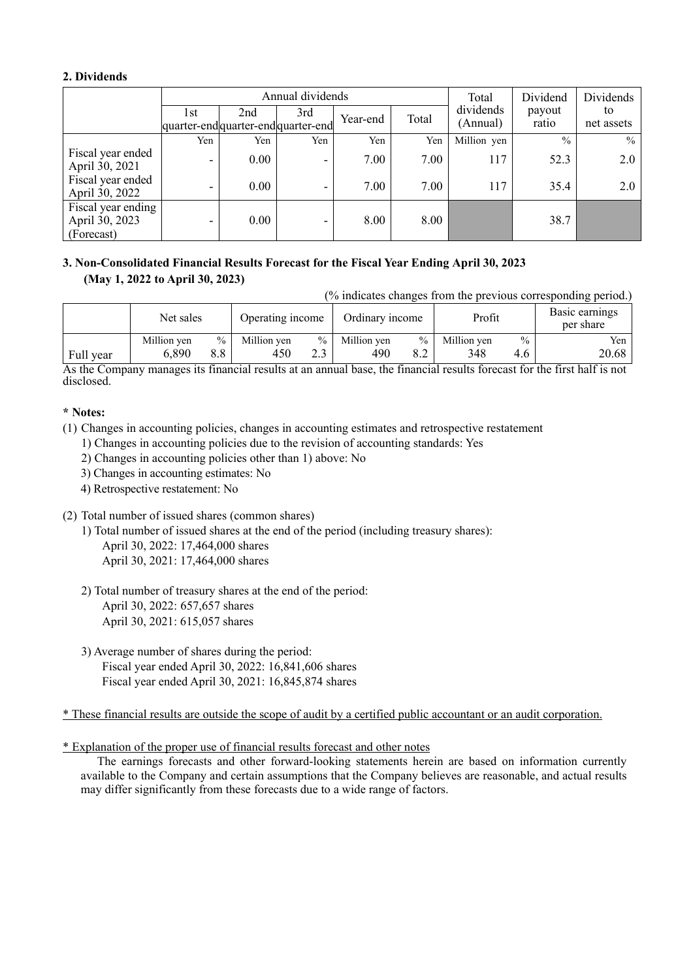## **2. Dividends**

|                                                    |                                            |      | Annual dividends | Total    | Dividend | Dividends             |                 |                  |
|----------------------------------------------------|--------------------------------------------|------|------------------|----------|----------|-----------------------|-----------------|------------------|
|                                                    | 1st<br>quarter-end quarter-end quarter-end | 2nd  | 3rd              | Year-end | Total    | dividends<br>(Annual) | payout<br>ratio | to<br>net assets |
|                                                    | Yen                                        | Yen  | Yen              | Yen      | Yen      | Million yen           | $\frac{0}{0}$   | $\frac{0}{0}$    |
| Fiscal year ended<br>April 30, 2021                | $\overline{\phantom{0}}$                   | 0.00 | ۰                | 7.00     | 7.00     | 117                   | 52.3            | 2.0              |
| Fiscal year ended<br>April 30, 2022                | $\overline{\phantom{0}}$                   | 0.00 |                  | 7.00     | 7.00     | 117                   | 35.4            | 2.0              |
| Fiscal year ending<br>April 30, 2023<br>(Forecast) | $\overline{\phantom{0}}$                   | 0.00 | -                | 8.00     | 8.00     |                       | 38.7            |                  |

## **3. Non-Consolidated Financial Results Forecast for the Fiscal Year Ending April 30, 2023 (May 1, 2022 to April 30, 2023)**

(% indicates changes from the previous corresponding period.)

|                     | Net sales   |               | Operating income |            | Ordinary income |      | Profit      |               | Basic earnings<br>per share |
|---------------------|-------------|---------------|------------------|------------|-----------------|------|-------------|---------------|-----------------------------|
|                     | Million yen | $\frac{0}{0}$ | Million yen      | $\%$ 1     | Million yen     | $\%$ | Million yen | $\frac{0}{0}$ | Yen                         |
| Full year<br>$\sim$ | 6,890       | 8.8           | 450              | າາ<br>د. ک | 490             | 8.2  | 348         | 4.6           | 20.68<br>$\cdots$           |

As the Company manages its financial results at an annual base, the financial results forecast for the first half is not disclosed.

## **\* Notes:**

- (1) Changes in accounting policies, changes in accounting estimates and retrospective restatement
	- 1) Changes in accounting policies due to the revision of accounting standards: Yes
	- 2) Changes in accounting policies other than 1) above: No
	- 3) Changes in accounting estimates: No
	- 4) Retrospective restatement: No
- (2) Total number of issued shares (common shares)
	- 1) Total number of issued shares at the end of the period (including treasury shares): April 30, 2022: 17,464,000 shares April 30, 2021: 17,464,000 shares
	- 2) Total number of treasury shares at the end of the period: April 30, 2022: 657,657 shares April 30, 2021: 615,057 shares
	- 3) Average number of shares during the period: Fiscal year ended April 30, 2022: 16,841,606 shares Fiscal year ended April 30, 2021: 16,845,874 shares

\* These financial results are outside the scope of audit by a certified public accountant or an audit corporation.

## \* Explanation of the proper use of financial results forecast and other notes

The earnings forecasts and other forward-looking statements herein are based on information currently available to the Company and certain assumptions that the Company believes are reasonable, and actual results may differ significantly from these forecasts due to a wide range of factors.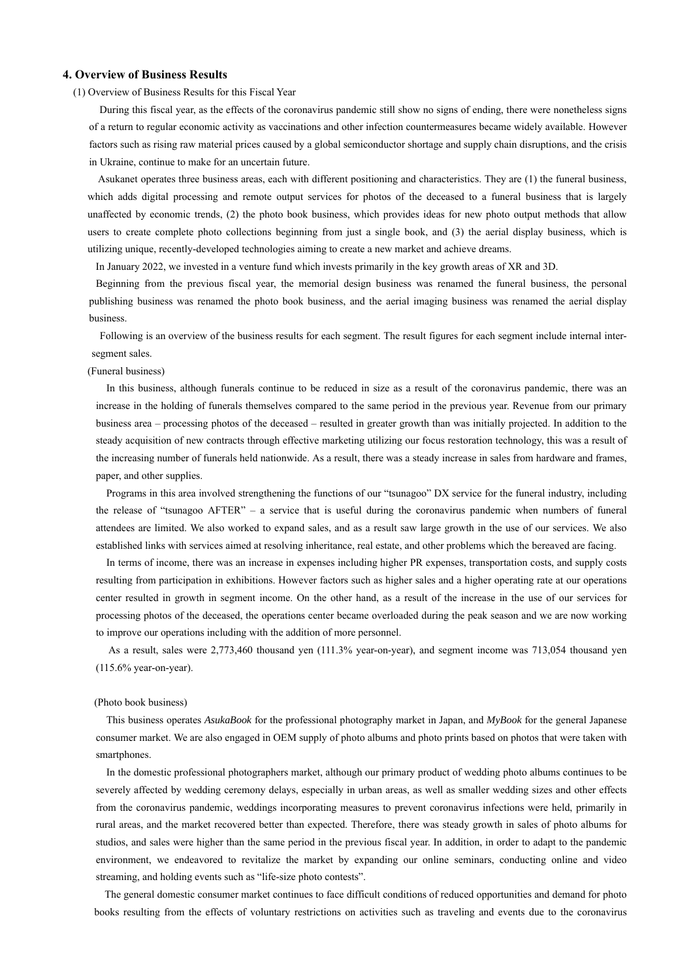#### **4. Overview of Business Results**

(1) Overview of Business Results for this Fiscal Year

During this fiscal year, as the effects of the coronavirus pandemic still show no signs of ending, there were nonetheless signs of a return to regular economic activity as vaccinations and other infection countermeasures became widely available. However factors such as rising raw material prices caused by a global semiconductor shortage and supply chain disruptions, and the crisis in Ukraine, continue to make for an uncertain future.

Asukanet operates three business areas, each with different positioning and characteristics. They are (1) the funeral business, which adds digital processing and remote output services for photos of the deceased to a funeral business that is largely unaffected by economic trends, (2) the photo book business, which provides ideas for new photo output methods that allow users to create complete photo collections beginning from just a single book, and (3) the aerial display business, which is utilizing unique, recently-developed technologies aiming to create a new market and achieve dreams.

In January 2022, we invested in a venture fund which invests primarily in the key growth areas of XR and 3D.

Beginning from the previous fiscal year, the memorial design business was renamed the funeral business, the personal publishing business was renamed the photo book business, and the aerial imaging business was renamed the aerial display business.

Following is an overview of the business results for each segment. The result figures for each segment include internal intersegment sales.

#### (Funeral business)

In this business, although funerals continue to be reduced in size as a result of the coronavirus pandemic, there was an increase in the holding of funerals themselves compared to the same period in the previous year. Revenue from our primary business area – processing photos of the deceased – resulted in greater growth than was initially projected. In addition to the steady acquisition of new contracts through effective marketing utilizing our focus restoration technology, this was a result of the increasing number of funerals held nationwide. As a result, there was a steady increase in sales from hardware and frames, paper, and other supplies.

Programs in this area involved strengthening the functions of our "tsunagoo" DX service for the funeral industry, including the release of "tsunagoo AFTER" – a service that is useful during the coronavirus pandemic when numbers of funeral attendees are limited. We also worked to expand sales, and as a result saw large growth in the use of our services. We also established links with services aimed at resolving inheritance, real estate, and other problems which the bereaved are facing.

In terms of income, there was an increase in expenses including higher PR expenses, transportation costs, and supply costs resulting from participation in exhibitions. However factors such as higher sales and a higher operating rate at our operations center resulted in growth in segment income. On the other hand, as a result of the increase in the use of our services for processing photos of the deceased, the operations center became overloaded during the peak season and we are now working to improve our operations including with the addition of more personnel.

As a result, sales were 2,773,460 thousand yen (111.3% year-on-year), and segment income was 713,054 thousand yen (115.6% year-on-year).

#### (Photo book business)

This business operates *AsukaBook* for the professional photography market in Japan, and *MyBook* for the general Japanese consumer market. We are also engaged in OEM supply of photo albums and photo prints based on photos that were taken with smartphones.

In the domestic professional photographers market, although our primary product of wedding photo albums continues to be severely affected by wedding ceremony delays, especially in urban areas, as well as smaller wedding sizes and other effects from the coronavirus pandemic, weddings incorporating measures to prevent coronavirus infections were held, primarily in rural areas, and the market recovered better than expected. Therefore, there was steady growth in sales of photo albums for studios, and sales were higher than the same period in the previous fiscal year. In addition, in order to adapt to the pandemic environment, we endeavored to revitalize the market by expanding our online seminars, conducting online and video streaming, and holding events such as "life-size photo contests".

The general domestic consumer market continues to face difficult conditions of reduced opportunities and demand for photo books resulting from the effects of voluntary restrictions on activities such as traveling and events due to the coronavirus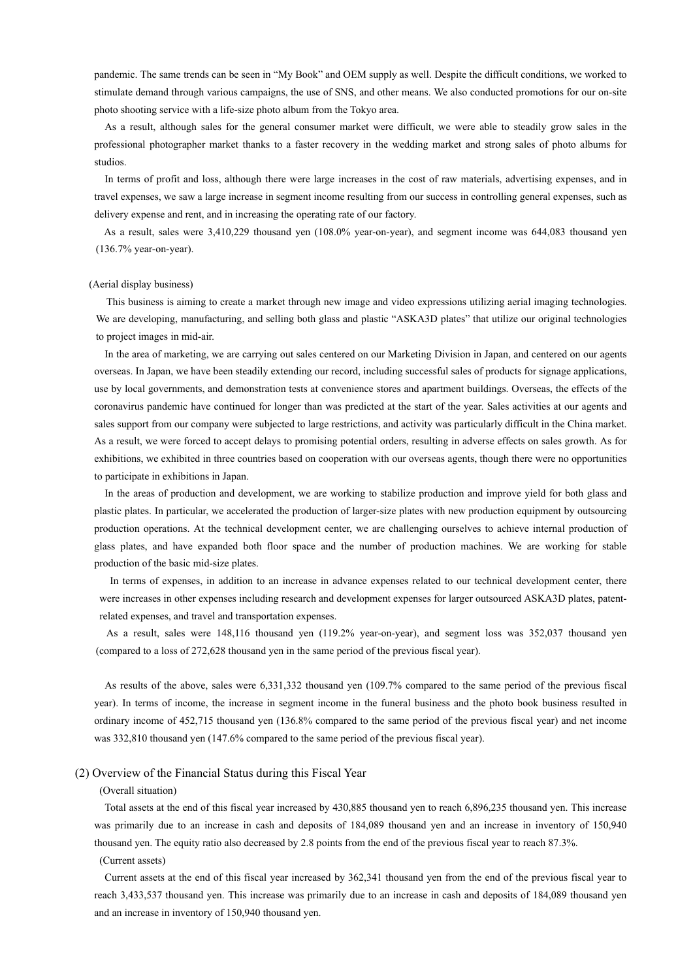pandemic. The same trends can be seen in "My Book" and OEM supply as well. Despite the difficult conditions, we worked to stimulate demand through various campaigns, the use of SNS, and other means. We also conducted promotions for our on-site photo shooting service with a life-size photo album from the Tokyo area.

As a result, although sales for the general consumer market were difficult, we were able to steadily grow sales in the professional photographer market thanks to a faster recovery in the wedding market and strong sales of photo albums for studios.

In terms of profit and loss, although there were large increases in the cost of raw materials, advertising expenses, and in travel expenses, we saw a large increase in segment income resulting from our success in controlling general expenses, such as delivery expense and rent, and in increasing the operating rate of our factory.

As a result, sales were 3,410,229 thousand yen (108.0% year-on-year), and segment income was 644,083 thousand yen (136.7% year-on-year).

#### (Aerial display business)

This business is aiming to create a market through new image and video expressions utilizing aerial imaging technologies. We are developing, manufacturing, and selling both glass and plastic "ASKA3D plates" that utilize our original technologies to project images in mid-air.

In the area of marketing, we are carrying out sales centered on our Marketing Division in Japan, and centered on our agents overseas. In Japan, we have been steadily extending our record, including successful sales of products for signage applications, use by local governments, and demonstration tests at convenience stores and apartment buildings. Overseas, the effects of the coronavirus pandemic have continued for longer than was predicted at the start of the year. Sales activities at our agents and sales support from our company were subjected to large restrictions, and activity was particularly difficult in the China market. As a result, we were forced to accept delays to promising potential orders, resulting in adverse effects on sales growth. As for exhibitions, we exhibited in three countries based on cooperation with our overseas agents, though there were no opportunities to participate in exhibitions in Japan.

In the areas of production and development, we are working to stabilize production and improve yield for both glass and plastic plates. In particular, we accelerated the production of larger-size plates with new production equipment by outsourcing production operations. At the technical development center, we are challenging ourselves to achieve internal production of glass plates, and have expanded both floor space and the number of production machines. We are working for stable production of the basic mid-size plates.

In terms of expenses, in addition to an increase in advance expenses related to our technical development center, there were increases in other expenses including research and development expenses for larger outsourced ASKA3D plates, patentrelated expenses, and travel and transportation expenses.

As a result, sales were 148,116 thousand yen (119.2% year-on-year), and segment loss was 352,037 thousand yen (compared to a loss of 272,628 thousand yen in the same period of the previous fiscal year).

As results of the above, sales were 6,331,332 thousand yen (109.7% compared to the same period of the previous fiscal year). In terms of income, the increase in segment income in the funeral business and the photo book business resulted in ordinary income of 452,715 thousand yen (136.8% compared to the same period of the previous fiscal year) and net income was 332,810 thousand yen (147.6% compared to the same period of the previous fiscal year).

#### (2) Overview of the Financial Status during this Fiscal Year

(Overall situation)

Total assets at the end of this fiscal year increased by 430,885 thousand yen to reach 6,896,235 thousand yen. This increase was primarily due to an increase in cash and deposits of 184,089 thousand yen and an increase in inventory of 150,940 thousand yen. The equity ratio also decreased by 2.8 points from the end of the previous fiscal year to reach 87.3%.

#### (Current assets)

Current assets at the end of this fiscal year increased by 362,341 thousand yen from the end of the previous fiscal year to reach 3,433,537 thousand yen. This increase was primarily due to an increase in cash and deposits of 184,089 thousand yen and an increase in inventory of 150,940 thousand yen.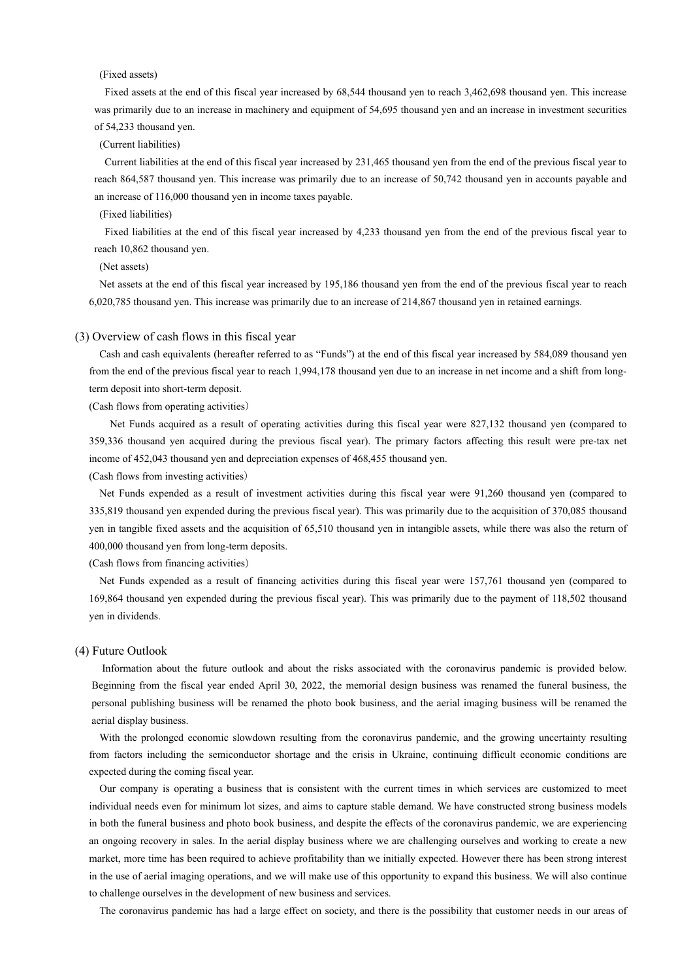#### (Fixed assets)

Fixed assets at the end of this fiscal year increased by 68,544 thousand yen to reach 3,462,698 thousand yen. This increase was primarily due to an increase in machinery and equipment of 54,695 thousand yen and an increase in investment securities of 54,233 thousand yen.

### (Current liabilities)

Current liabilities at the end of this fiscal year increased by 231,465 thousand yen from the end of the previous fiscal year to reach 864,587 thousand yen. This increase was primarily due to an increase of 50,742 thousand yen in accounts payable and an increase of 116,000 thousand yen in income taxes payable.

#### (Fixed liabilities)

Fixed liabilities at the end of this fiscal year increased by 4,233 thousand yen from the end of the previous fiscal year to reach 10,862 thousand yen.

#### (Net assets)

Net assets at the end of this fiscal year increased by 195,186 thousand yen from the end of the previous fiscal year to reach 6,020,785 thousand yen. This increase was primarily due to an increase of 214,867 thousand yen in retained earnings.

#### (3) Overview of cash flows in this fiscal year

Cash and cash equivalents (hereafter referred to as "Funds") at the end of this fiscal year increased by 584,089 thousand yen from the end of the previous fiscal year to reach 1,994,178 thousand yen due to an increase in net income and a shift from longterm deposit into short-term deposit.

(Cash flows from operating activities)

Net Funds acquired as a result of operating activities during this fiscal year were 827,132 thousand yen (compared to 359,336 thousand yen acquired during the previous fiscal year). The primary factors affecting this result were pre-tax net income of 452,043 thousand yen and depreciation expenses of 468,455 thousand yen.

(Cash flows from investing activities)

Net Funds expended as a result of investment activities during this fiscal year were 91,260 thousand yen (compared to 335,819 thousand yen expended during the previous fiscal year). This was primarily due to the acquisition of 370,085 thousand yen in tangible fixed assets and the acquisition of 65,510 thousand yen in intangible assets, while there was also the return of 400,000 thousand yen from long-term deposits.

(Cash flows from financing activities)

Net Funds expended as a result of financing activities during this fiscal year were 157,761 thousand yen (compared to 169,864 thousand yen expended during the previous fiscal year). This was primarily due to the payment of 118,502 thousand yen in dividends.

#### (4) Future Outlook

Information about the future outlook and about the risks associated with the coronavirus pandemic is provided below. Beginning from the fiscal year ended April 30, 2022, the memorial design business was renamed the funeral business, the personal publishing business will be renamed the photo book business, and the aerial imaging business will be renamed the aerial display business.

With the prolonged economic slowdown resulting from the coronavirus pandemic, and the growing uncertainty resulting from factors including the semiconductor shortage and the crisis in Ukraine, continuing difficult economic conditions are expected during the coming fiscal year.

Our company is operating a business that is consistent with the current times in which services are customized to meet individual needs even for minimum lot sizes, and aims to capture stable demand. We have constructed strong business models in both the funeral business and photo book business, and despite the effects of the coronavirus pandemic, we are experiencing an ongoing recovery in sales. In the aerial display business where we are challenging ourselves and working to create a new market, more time has been required to achieve profitability than we initially expected. However there has been strong interest in the use of aerial imaging operations, and we will make use of this opportunity to expand this business. We will also continue to challenge ourselves in the development of new business and services.

The coronavirus pandemic has had a large effect on society, and there is the possibility that customer needs in our areas of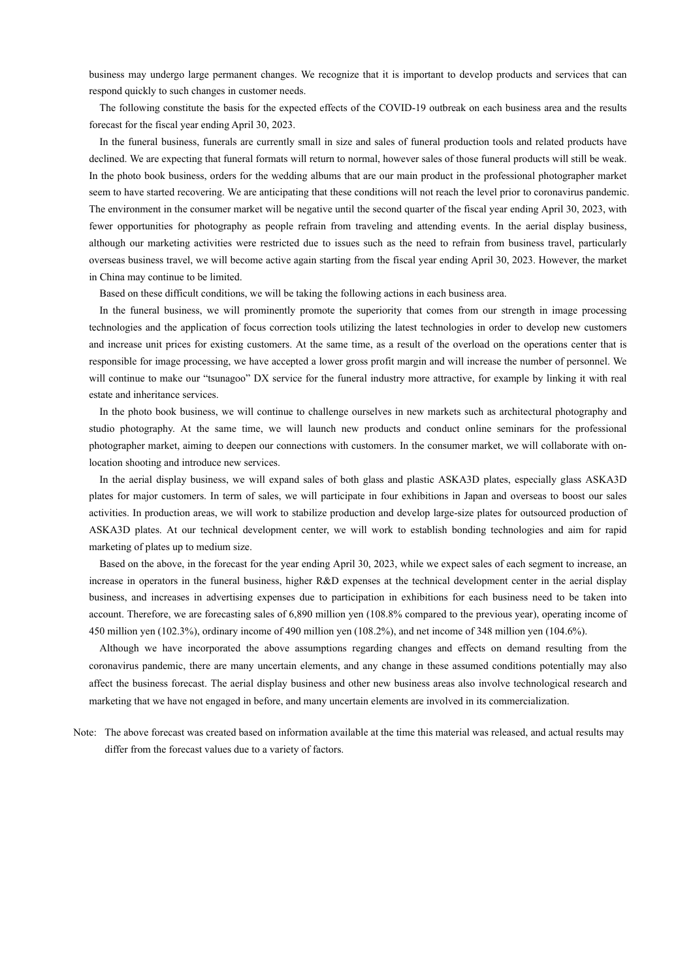business may undergo large permanent changes. We recognize that it is important to develop products and services that can respond quickly to such changes in customer needs.

The following constitute the basis for the expected effects of the COVID-19 outbreak on each business area and the results forecast for the fiscal year ending April 30, 2023.

In the funeral business, funerals are currently small in size and sales of funeral production tools and related products have declined. We are expecting that funeral formats will return to normal, however sales of those funeral products will still be weak. In the photo book business, orders for the wedding albums that are our main product in the professional photographer market seem to have started recovering. We are anticipating that these conditions will not reach the level prior to coronavirus pandemic. The environment in the consumer market will be negative until the second quarter of the fiscal year ending April 30, 2023, with fewer opportunities for photography as people refrain from traveling and attending events. In the aerial display business, although our marketing activities were restricted due to issues such as the need to refrain from business travel, particularly overseas business travel, we will become active again starting from the fiscal year ending April 30, 2023. However, the market in China may continue to be limited.

Based on these difficult conditions, we will be taking the following actions in each business area.

In the funeral business, we will prominently promote the superiority that comes from our strength in image processing technologies and the application of focus correction tools utilizing the latest technologies in order to develop new customers and increase unit prices for existing customers. At the same time, as a result of the overload on the operations center that is responsible for image processing, we have accepted a lower gross profit margin and will increase the number of personnel. We will continue to make our "tsunagoo" DX service for the funeral industry more attractive, for example by linking it with real estate and inheritance services.

In the photo book business, we will continue to challenge ourselves in new markets such as architectural photography and studio photography. At the same time, we will launch new products and conduct online seminars for the professional photographer market, aiming to deepen our connections with customers. In the consumer market, we will collaborate with onlocation shooting and introduce new services.

In the aerial display business, we will expand sales of both glass and plastic ASKA3D plates, especially glass ASKA3D plates for major customers. In term of sales, we will participate in four exhibitions in Japan and overseas to boost our sales activities. In production areas, we will work to stabilize production and develop large-size plates for outsourced production of ASKA3D plates. At our technical development center, we will work to establish bonding technologies and aim for rapid marketing of plates up to medium size.

Based on the above, in the forecast for the year ending April 30, 2023, while we expect sales of each segment to increase, an increase in operators in the funeral business, higher R&D expenses at the technical development center in the aerial display business, and increases in advertising expenses due to participation in exhibitions for each business need to be taken into account. Therefore, we are forecasting sales of 6,890 million yen (108.8% compared to the previous year), operating income of 450 million yen (102.3%), ordinary income of 490 million yen (108.2%), and net income of 348 million yen (104.6%).

Although we have incorporated the above assumptions regarding changes and effects on demand resulting from the coronavirus pandemic, there are many uncertain elements, and any change in these assumed conditions potentially may also affect the business forecast. The aerial display business and other new business areas also involve technological research and marketing that we have not engaged in before, and many uncertain elements are involved in its commercialization.

Note: The above forecast was created based on information available at the time this material was released, and actual results may differ from the forecast values due to a variety of factors.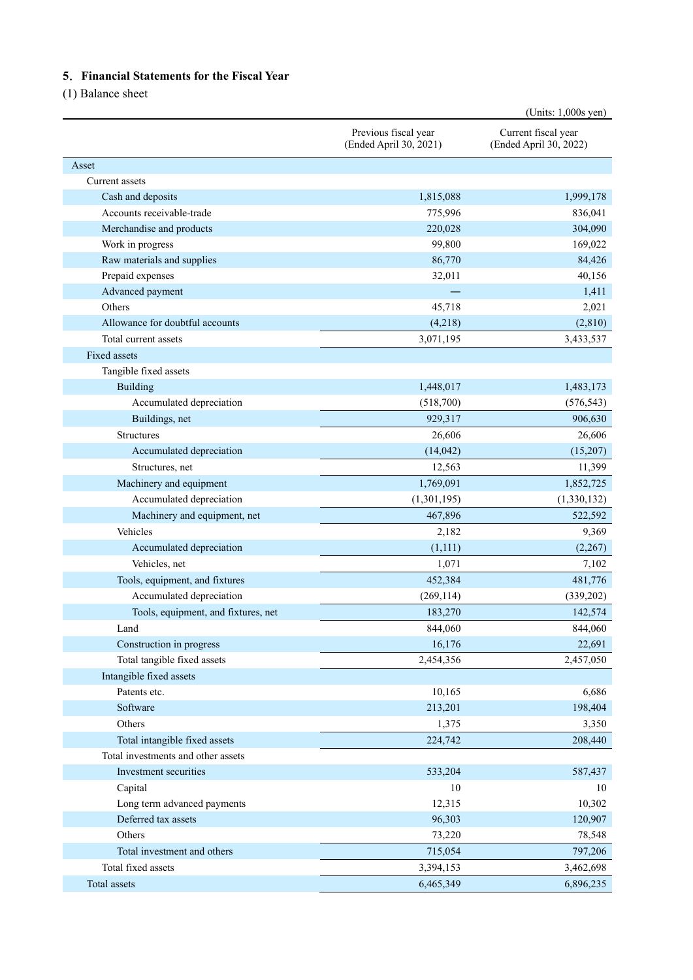## **5**.**Financial Statements for the Fiscal Year**

(1) Balance sheet

|                                                                     |                                                | (Units: $1,000s$ yen)                         |
|---------------------------------------------------------------------|------------------------------------------------|-----------------------------------------------|
|                                                                     | Previous fiscal year<br>(Ended April 30, 2021) | Current fiscal year<br>(Ended April 30, 2022) |
| Asset                                                               |                                                |                                               |
| Current assets                                                      |                                                |                                               |
| Cash and deposits                                                   | 1,815,088                                      | 1,999,178                                     |
| Accounts receivable-trade                                           | 775,996                                        | 836,041                                       |
| Merchandise and products                                            | 220,028                                        | 304,090                                       |
| Work in progress                                                    | 99,800                                         | 169,022                                       |
| Raw materials and supplies                                          | 86,770                                         | 84,426                                        |
| Prepaid expenses                                                    | 32,011                                         | 40,156                                        |
| Advanced payment                                                    |                                                | 1,411                                         |
| Others                                                              | 45,718                                         | 2,021                                         |
| Allowance for doubtful accounts                                     | (4,218)                                        | (2,810)                                       |
| Total current assets                                                | 3,071,195                                      | 3,433,537                                     |
| Fixed assets                                                        |                                                |                                               |
| Tangible fixed assets                                               |                                                |                                               |
| Building                                                            | 1,448,017                                      | 1,483,173                                     |
| Accumulated depreciation                                            | (518,700)                                      | (576, 543)                                    |
| Buildings, net                                                      | 929,317                                        | 906,630                                       |
| Structures                                                          | 26,606                                         | 26,606                                        |
| Accumulated depreciation                                            | (14, 042)                                      | (15,207)                                      |
| Structures, net                                                     | 12,563                                         | 11,399                                        |
| Machinery and equipment                                             | 1,769,091                                      | 1,852,725                                     |
| Accumulated depreciation                                            | (1,301,195)                                    | (1,330,132)                                   |
| Machinery and equipment, net                                        | 467,896                                        | 522,592                                       |
| Vehicles                                                            | 2,182                                          | 9,369                                         |
| Accumulated depreciation                                            | (1,111)                                        | (2,267)                                       |
| Vehicles, net                                                       | 1,071                                          | 7,102                                         |
| Tools, equipment, and fixtures                                      | 452,384                                        | 481,776                                       |
| Accumulated depreciation                                            | (269, 114)                                     | (339, 202)                                    |
| Tools, equipment, and fixtures, net                                 | 183,270                                        | 142,574                                       |
|                                                                     | 844,060                                        | 844,060                                       |
| Land<br>Construction in progress                                    | 16,176                                         | 22,691                                        |
| Total tangible fixed assets                                         | 2,454,356                                      | 2,457,050                                     |
|                                                                     |                                                |                                               |
| Intangible fixed assets<br>Patents etc.                             | 10,165                                         | 6,686                                         |
| Software                                                            | 213,201                                        | 198,404                                       |
| Others                                                              | 1,375                                          | 3,350                                         |
|                                                                     |                                                |                                               |
| Total intangible fixed assets<br>Total investments and other assets | 224,742                                        | 208,440                                       |
|                                                                     |                                                |                                               |
| Investment securities                                               | 533,204                                        | 587,437                                       |
| Capital                                                             | 10                                             | 10                                            |
| Long term advanced payments                                         | 12,315                                         | 10,302                                        |
| Deferred tax assets                                                 | 96,303                                         | 120,907                                       |
| Others                                                              | 73,220                                         | 78,548                                        |
| Total investment and others                                         | 715,054                                        | 797,206                                       |
| Total fixed assets                                                  | 3,394,153                                      | 3,462,698                                     |
| Total assets                                                        | 6,465,349                                      | 6,896,235                                     |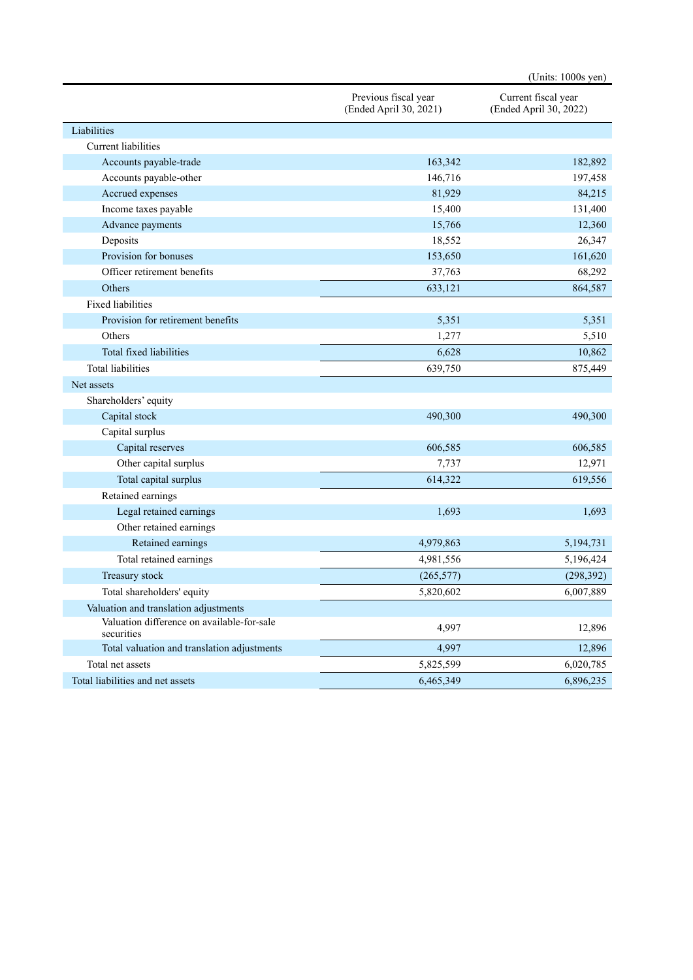|                                                          |                                                | (Units: 1000s yen)                            |
|----------------------------------------------------------|------------------------------------------------|-----------------------------------------------|
|                                                          | Previous fiscal year<br>(Ended April 30, 2021) | Current fiscal year<br>(Ended April 30, 2022) |
| Liabilities                                              |                                                |                                               |
| Current liabilities                                      |                                                |                                               |
| Accounts payable-trade                                   | 163,342                                        | 182,892                                       |
| Accounts payable-other                                   | 146,716                                        | 197,458                                       |
| Accrued expenses                                         | 81,929                                         | 84,215                                        |
| Income taxes payable                                     | 15,400                                         | 131,400                                       |
| Advance payments                                         | 15,766                                         | 12,360                                        |
| Deposits                                                 | 18,552                                         | 26,347                                        |
| Provision for bonuses                                    | 153,650                                        | 161,620                                       |
| Officer retirement benefits                              | 37,763                                         | 68,292                                        |
| Others                                                   | 633,121                                        | 864,587                                       |
| <b>Fixed liabilities</b>                                 |                                                |                                               |
| Provision for retirement benefits                        | 5,351                                          | 5,351                                         |
| Others                                                   | 1,277                                          | 5,510                                         |
| Total fixed liabilities                                  | 6,628                                          | 10,862                                        |
| <b>Total liabilities</b>                                 | 639,750                                        | 875,449                                       |
| Net assets                                               |                                                |                                               |
| Shareholders' equity                                     |                                                |                                               |
| Capital stock                                            | 490,300                                        | 490,300                                       |
| Capital surplus                                          |                                                |                                               |
| Capital reserves                                         | 606,585                                        | 606,585                                       |
| Other capital surplus                                    | 7,737                                          | 12,971                                        |
| Total capital surplus                                    | 614,322                                        | 619,556                                       |
| Retained earnings                                        |                                                |                                               |
| Legal retained earnings                                  | 1,693                                          | 1,693                                         |
| Other retained earnings                                  |                                                |                                               |
| Retained earnings                                        | 4,979,863                                      | 5,194,731                                     |
| Total retained earnings                                  | 4,981,556                                      | 5,196,424                                     |
| Treasury stock                                           | (265, 577)                                     | (298, 392)                                    |
| Total shareholders' equity                               | 5,820,602                                      | 6,007,889                                     |
| Valuation and translation adjustments                    |                                                |                                               |
| Valuation difference on available-for-sale<br>securities | 4,997                                          | 12,896                                        |
| Total valuation and translation adjustments              | 4,997                                          | 12,896                                        |
| Total net assets                                         | 5,825,599                                      | 6,020,785                                     |
| Total liabilities and net assets                         | 6,465,349                                      | 6,896,235                                     |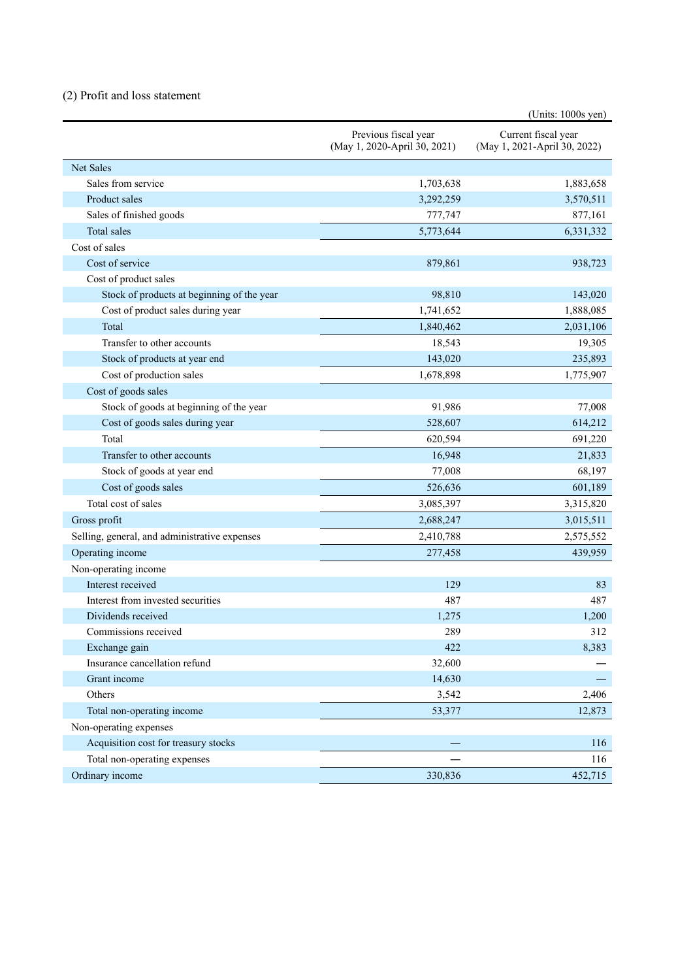## (2) Profit and loss statement

|                                               |                                                      | (Units: 1000s yen)                                  |
|-----------------------------------------------|------------------------------------------------------|-----------------------------------------------------|
|                                               | Previous fiscal year<br>(May 1, 2020-April 30, 2021) | Current fiscal year<br>(May 1, 2021-April 30, 2022) |
| <b>Net Sales</b>                              |                                                      |                                                     |
| Sales from service                            | 1,703,638                                            | 1,883,658                                           |
| Product sales                                 | 3,292,259                                            | 3,570,511                                           |
| Sales of finished goods                       | 777,747                                              | 877,161                                             |
| Total sales                                   | 5,773,644                                            | 6,331,332                                           |
| Cost of sales                                 |                                                      |                                                     |
| Cost of service                               | 879,861                                              | 938,723                                             |
| Cost of product sales                         |                                                      |                                                     |
| Stock of products at beginning of the year    | 98,810                                               | 143,020                                             |
| Cost of product sales during year             | 1,741,652                                            | 1,888,085                                           |
| Total                                         | 1,840,462                                            | 2,031,106                                           |
| Transfer to other accounts                    | 18,543                                               | 19,305                                              |
| Stock of products at year end                 | 143,020                                              | 235,893                                             |
| Cost of production sales                      | 1,678,898                                            | 1,775,907                                           |
| Cost of goods sales                           |                                                      |                                                     |
| Stock of goods at beginning of the year       | 91,986                                               | 77,008                                              |
| Cost of goods sales during year               | 528,607                                              | 614,212                                             |
| Total                                         | 620,594                                              | 691,220                                             |
| Transfer to other accounts                    | 16,948                                               | 21,833                                              |
| Stock of goods at year end                    | 77,008                                               | 68,197                                              |
| Cost of goods sales                           | 526,636                                              | 601,189                                             |
| Total cost of sales                           | 3,085,397                                            | 3,315,820                                           |
| Gross profit                                  | 2,688,247                                            | 3,015,511                                           |
| Selling, general, and administrative expenses | 2,410,788                                            | 2,575,552                                           |
| Operating income                              | 277,458                                              | 439,959                                             |
| Non-operating income                          |                                                      |                                                     |
| Interest received                             | 129                                                  | 83                                                  |
| Interest from invested securities             | 487                                                  | 487                                                 |
| Dividends received                            | 1,275                                                | 1,200                                               |
| Commissions received                          | 289                                                  | 312                                                 |
| Exchange gain                                 | 422                                                  | 8,383                                               |
| Insurance cancellation refund                 | 32,600                                               |                                                     |
| Grant income                                  | 14,630                                               |                                                     |
| Others                                        | 3,542                                                | 2,406                                               |
| Total non-operating income                    | 53,377                                               | 12,873                                              |
| Non-operating expenses                        |                                                      |                                                     |
| Acquisition cost for treasury stocks          |                                                      | 116                                                 |
| Total non-operating expenses                  |                                                      | 116                                                 |
| Ordinary income                               | 330,836                                              | 452,715                                             |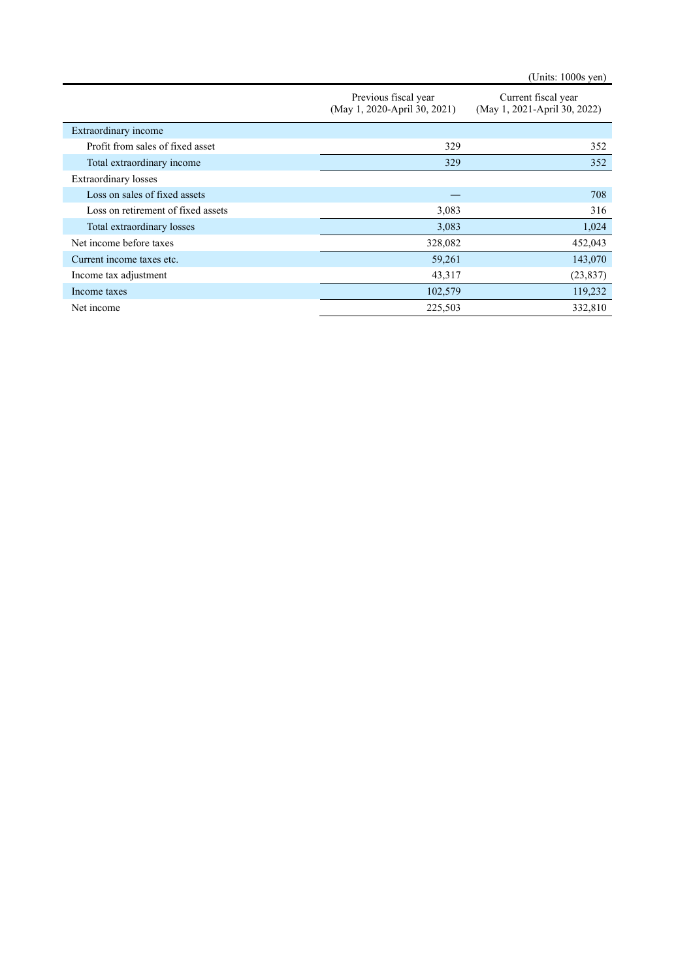(Units: 1000s yen)

|                                    | Previous fiscal year<br>(May 1, 2020-April 30, 2021) | Current fiscal year<br>(May 1, 2021-April 30, 2022) |
|------------------------------------|------------------------------------------------------|-----------------------------------------------------|
| Extraordinary income               |                                                      |                                                     |
| Profit from sales of fixed asset   | 329                                                  | 352                                                 |
| Total extraordinary income         | 329                                                  | 352                                                 |
| <b>Extraordinary</b> losses        |                                                      |                                                     |
| Loss on sales of fixed assets      |                                                      | 708                                                 |
| Loss on retirement of fixed assets | 3,083                                                | 316                                                 |
| Total extraordinary losses         | 3,083                                                | 1,024                                               |
| Net income before taxes            | 328,082                                              | 452,043                                             |
| Current income taxes etc.          | 59,261                                               | 143,070                                             |
| Income tax adjustment              | 43,317                                               | (23, 837)                                           |
| Income taxes                       | 102,579                                              | 119,232                                             |
| Net income                         | 225,503                                              | 332,810                                             |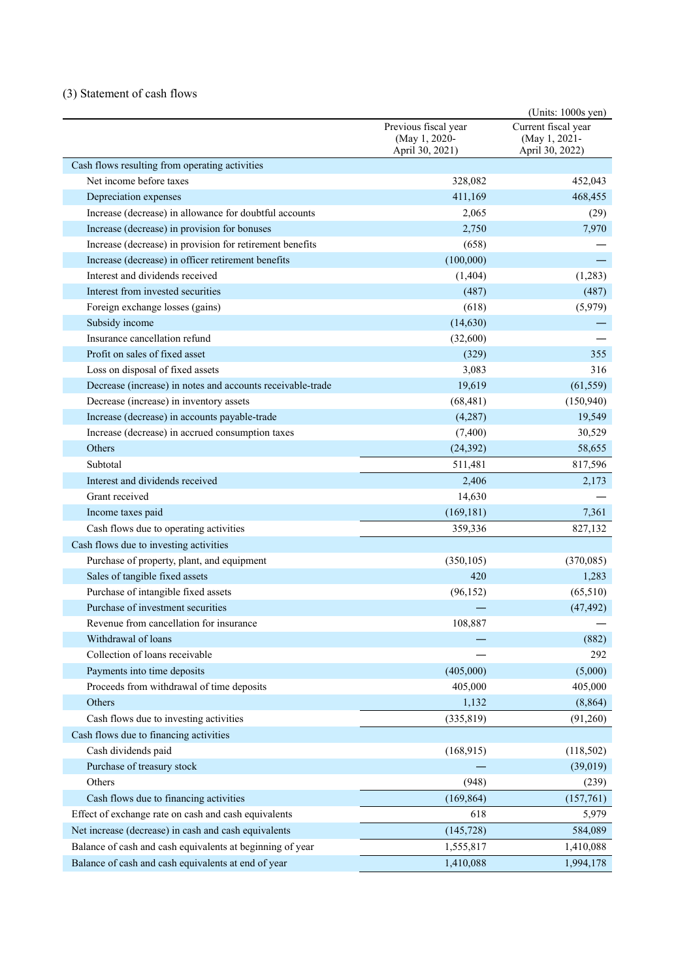## (3) Statement of cash flows

|                                                            |                                                          | (Units: 1000s yen)                                      |
|------------------------------------------------------------|----------------------------------------------------------|---------------------------------------------------------|
|                                                            | Previous fiscal year<br>(May 1, 2020-<br>April 30, 2021) | Current fiscal year<br>(May 1, 2021-<br>April 30, 2022) |
| Cash flows resulting from operating activities             |                                                          |                                                         |
| Net income before taxes                                    | 328,082                                                  | 452,043                                                 |
| Depreciation expenses                                      | 411,169                                                  | 468,455                                                 |
| Increase (decrease) in allowance for doubtful accounts     | 2,065                                                    | (29)                                                    |
| Increase (decrease) in provision for bonuses               | 2,750                                                    | 7,970                                                   |
| Increase (decrease) in provision for retirement benefits   | (658)                                                    |                                                         |
| Increase (decrease) in officer retirement benefits         | (100,000)                                                |                                                         |
| Interest and dividends received                            | (1, 404)                                                 | (1,283)                                                 |
| Interest from invested securities                          | (487)                                                    | (487)                                                   |
| Foreign exchange losses (gains)                            | (618)                                                    | (5,979)                                                 |
| Subsidy income                                             | (14, 630)                                                |                                                         |
| Insurance cancellation refund                              | (32,600)                                                 |                                                         |
| Profit on sales of fixed asset                             | (329)                                                    | 355                                                     |
| Loss on disposal of fixed assets                           | 3,083                                                    | 316                                                     |
| Decrease (increase) in notes and accounts receivable-trade | 19,619                                                   | (61, 559)                                               |
| Decrease (increase) in inventory assets                    | (68, 481)                                                | (150, 940)                                              |
| Increase (decrease) in accounts payable-trade              | (4,287)                                                  | 19,549                                                  |
| Increase (decrease) in accrued consumption taxes           | (7,400)                                                  | 30,529                                                  |
| Others                                                     | (24, 392)                                                | 58,655                                                  |
| Subtotal                                                   | 511,481                                                  | 817,596                                                 |
| Interest and dividends received                            | 2,406                                                    | 2,173                                                   |
| Grant received                                             | 14,630                                                   |                                                         |
| Income taxes paid                                          | (169, 181)                                               | 7,361                                                   |
| Cash flows due to operating activities                     | 359,336                                                  | 827,132                                                 |
| Cash flows due to investing activities                     |                                                          |                                                         |
| Purchase of property, plant, and equipment                 | (350, 105)                                               | (370,085)                                               |
| Sales of tangible fixed assets                             | 420                                                      | 1,283                                                   |
| Purchase of intangible fixed assets                        | (96, 152)                                                | (65,510)                                                |
| Purchase of investment securities                          |                                                          | (47, 492)                                               |
| Revenue from cancellation for insurance                    | 108,887                                                  |                                                         |
| Withdrawal of loans                                        |                                                          | (882)                                                   |
| Collection of loans receivable                             |                                                          | 292                                                     |
| Payments into time deposits                                | (405,000)                                                | (5,000)                                                 |
| Proceeds from withdrawal of time deposits                  | 405,000                                                  | 405,000                                                 |
| Others                                                     | 1,132                                                    | (8, 864)                                                |
| Cash flows due to investing activities                     | (335, 819)                                               | (91,260)                                                |
| Cash flows due to financing activities                     |                                                          |                                                         |
| Cash dividends paid                                        | (168, 915)                                               | (118, 502)                                              |
| Purchase of treasury stock                                 |                                                          | (39,019)                                                |
| Others                                                     | (948)                                                    | (239)                                                   |
| Cash flows due to financing activities                     | (169, 864)                                               | (157,761)                                               |
| Effect of exchange rate on cash and cash equivalents       | 618                                                      | 5,979                                                   |
| Net increase (decrease) in cash and cash equivalents       | (145, 728)                                               | 584,089                                                 |
| Balance of cash and cash equivalents at beginning of year  | 1,555,817                                                | 1,410,088                                               |
| Balance of cash and cash equivalents at end of year        | 1,410,088                                                | 1,994,178                                               |
|                                                            |                                                          |                                                         |